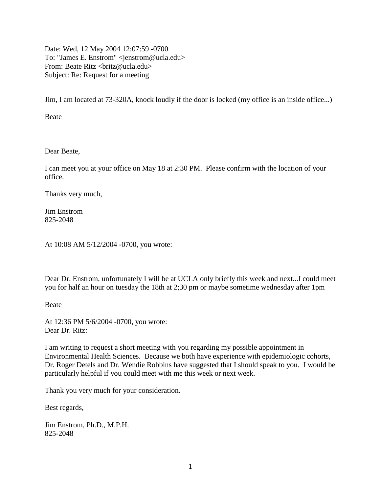Date: Wed, 12 May 2004 12:07:59 -0700 To: "James E. Enstrom" <jenstrom@ucla.edu> From: Beate Ritz <br/> <br/> <br/> <br/> <br/> <br/> <br/> <br/> <br/> $\frac{1}{2}$ Subject: Re: Request for a meeting

Jim, I am located at 73-320A, knock loudly if the door is locked (my office is an inside office...)

Beate

Dear Beate,

I can meet you at your office on May 18 at 2:30 PM. Please confirm with the location of your office.

Thanks very much,

Jim Enstrom 825-2048

At 10:08 AM 5/12/2004 -0700, you wrote:

Dear Dr. Enstrom, unfortunately I will be at UCLA only briefly this week and next...I could meet you for half an hour on tuesday the 18th at 2;30 pm or maybe sometime wednesday after 1pm

Beate

At 12:36 PM 5/6/2004 -0700, you wrote: Dear Dr. Ritz:

I am writing to request a short meeting with you regarding my possible appointment in Environmental Health Sciences. Because we both have experience with epidemiologic cohorts, Dr. Roger Detels and Dr. Wendie Robbins have suggested that I should speak to you. I would be particularly helpful if you could meet with me this week or next week.

Thank you very much for your consideration.

Best regards,

Jim Enstrom, Ph.D., M.P.H. 825-2048